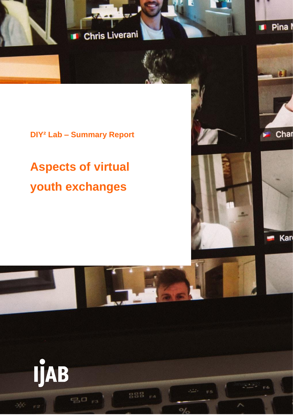

# **DIY² Lab – Summary Report**

# **Aspects of virtual youth exchanges**





Char





888



20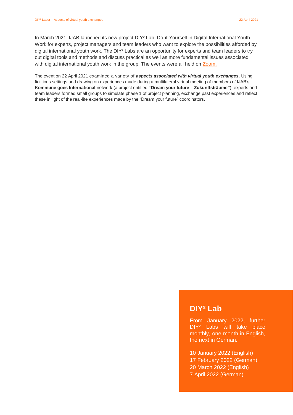In March 2021, IJAB launched its new project DIY² Lab: Do-it-Yourself in Digital International Youth Work for experts, project managers and team leaders who want to explore the possibilities afforded by digital international youth work. The DIY² Labs are an opportunity for experts and team leaders to try out digital tools and methods and discuss practical as well as more fundamental issues associated with digital international youth work in the group. The events were all held on [Zoom.](https://zoom.us/de-de/meetings.html)

The event on 22 April 2021 examined a variety of *aspects associated with virtual youth exchanges*. Using fictitious settings and drawing on experiences made during a multilateral virtual meeting of members of IJAB's **Kommune goes International** network (a project entitled **"Dream your future – Zukunftsträume"**), experts and team leaders formed small groups to simulate phase 1 of project planning, exchange past experiences and reflect these in light of the real-life experiences made by the "Dream your future" coordinators.

# **DIY² Lab**

From January 2022, further DIY² Labs will take place monthly, one month in English, the next in German.

10 January 2022 (English) 17 February 2022 (German) 20 March 2022 (English) 7 April 2022 (German)

Seite 1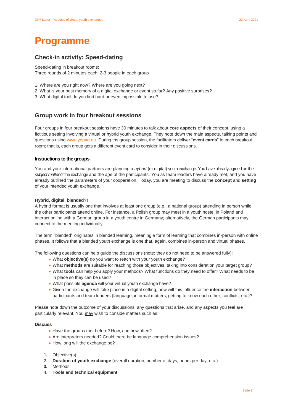# **Programme**

# **Check-in activity: Speed-dating**

Speed-dating in breakout rooms: Three rounds of 2 minutes each; 2-3 people in each group

- 1. Where are you right now? Where are you going next?
- 2. What is your best memory of a digital exchange or event so far? Any positive surprises?
- 3. What digital tool do you find hard or even impossible to use?

### **Group work in four breakout sessions**

Four groups in four breakout sessions have 30 minutes to talk about **core aspects** of their concept, using a fictitious setting involving a virtual or hybrid youth exchange. They note down the main aspects, talking points and questions using [www.yopad.eu.](http://www.yopad.eu/) During ths group session, the facilitators deliver "**event cards**" to each breakout room; that is, each group gets a different event card to consider in their discussions.

#### **Instructions to the groups**

You and your international partners are planning a *hybrid* (or digital) youth exchange. You have already agreed on the *subject matter* of the exchange and the *age* of the participants. You as team leaders have already met, and you have already outlined the parameters of your cooperation. Today, you are meeting to discuss the **concept** and **setting**  of your intended youth exchange.

#### **Hybrid, digital, blended?!**

A hybrid format is usually one that involves at least one group (e.g., a national group) attending in person while the other participants attend online. For instance, a Polish group may meet in a youth hostel in Poland and interact online with a German group in a youth centre in Germany; alternatively, the German participants may connect to the meeting individually.

The term "blended" originates in blended learning, meaning a form of learning that combines in-person with online phases. It follows that a blended youth exchange is one that, again, combines in-person and virtual phases.

The following questions can help guide the discussions (note: they do not need to be answered fully):

- What **objective(s)** do you want to reach with your youth exchange?
- What **methods** are suitable for reaching those objectives, taking into consideration your target group?
- What **tools** can help you apply your methods? What functions do they need to offer? What needs to be in place so they can be used?
- What possible **agenda** will your virtual youth exchange have?
- Given the exchange will take place in a digital setting, how will this influence the **interaction** between participants and team leaders (language, informal matters, getting to know each other, conflicts, etc.)?

Please note down the outcome of your discussions, any questions that arise, and any aspects you feel are particularly relevant. You may wish to conside matters such as:

#### **Discuss**

- Have the groups met before? How, and how often?
- Are interpreters needed? Could there be language comprehension issues?
- How long will the exchange be?
- **1.** Objective(s)
- 2. **Duration of youth exchange** (overall duration, number of days, hours per day, etc.)
- **3.** Methods
- 4. **Tools and technical equipment**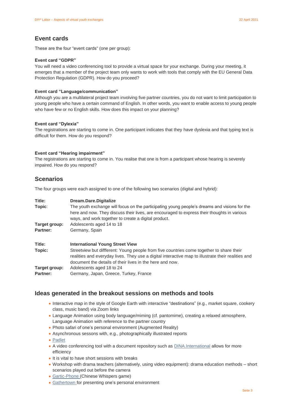### **Event cards**

These are the four "event cards" (one per group):

#### **Event card "GDPR"**

You will need a video conferencing tool to provide a virtual space for your exchange. During your meeting, it emerges that a member of the project team only wants to work with tools that comply with the EU General Data Protection Regulation (GDPR). How do you proceed?

#### **Event card "Language/communication"**

Although you are a multilateral project team involving five partner countries, you do not want to limit participation to young people who have a certain command of English. In other words, you want to enable access to young people who have few or no English skills. How does this impact on your planning?

#### **Event card "Dylexia"**

The registrations are starting to come in. One participant indicates that they have dyslexia and that typing text is difficult for them. How do you respond?

#### **Event card "Hearing impairment"**

The registrations are starting to come in. You realise that one is from a participant whose hearing is severely impaired. How do you respond?

### **Scenarios**

The four groups were each assigned to one of the following two scenarios (digital and hybrid):

| Title:                           | Dream.Dare.Digitalize                                                                                                                                                                                                                                      |
|----------------------------------|------------------------------------------------------------------------------------------------------------------------------------------------------------------------------------------------------------------------------------------------------------|
| Topic:                           | The youth exchange will focus on the participating young people's dreams and visions for the<br>here and now. They discuss their lives, are encouraged to express their thoughts in various<br>ways, and work together to create a digital product.        |
| Target group:                    | Adolescents aged 14 to 18                                                                                                                                                                                                                                  |
| Partner:                         | Germany, Spain                                                                                                                                                                                                                                             |
| Title:                           | <b>International Young Street View</b>                                                                                                                                                                                                                     |
| Topic:                           | Streetview but diffferent: Young people from five countries come together to share their<br>realities and everyday lives. They use a digital interactive map to illustrate their realities and<br>document the details of their lives in the here and now. |
| Target group:<br><b>Partner:</b> | Adolescents aged 18 to 24<br>Germany, Japan, Greece, Turkey, France                                                                                                                                                                                        |

### **Ideas generated in the breakout sessions on methods and tools**

- Interactive map in the style of Google Earth with interactive "destinations" (e.g., market square, cookery class, music band) via Zoom links
- Language Animation using body language/miming (cf. pantomime), creating a relaxed atmosphere, Language Animation with reference to the partner country
- Photo safari of one's personal environment (Augmented Reality)
- Asynchronous sessons with, e.g., photographically illustrated reports
- [Padlet](https://de.padlet.com/)
- A video conferencing tool with a document repository such as [DINA.International](https://dina.international/) allows for more efficiency
- It is vital to have short sessions with breaks
- Workshop with drama teachers (alternatively, using video equipment): drama education methods short scenarios played out before the camera
- [Gartic-Phone](https://garticphone.com/de) (Chinese Whispers game)
- [Gathertown](https://gather.town/) for presenting one's personal environment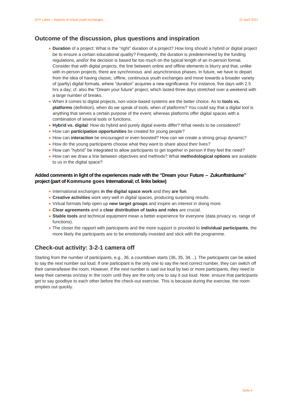### **Outcome of the discussion, plus questions and inspiration**

- **Duration** of a project: What is the "right" duration of a project? How long should a hybrid or digital project be to ensure a certain educational quality? Frequently, the duration is predetermined by the funding regulations, and/or the decision is based far too much on the typical length of an in-person format. Consider that with digital projects, the line between online and offline elements is blurry and that, unlike with in-person projects, there are synchronous and asynchronous phases. In future, we have to depart from the idea of having classic, offline, continuous youth exchanges and move towards a broader variety of (partly) digital formats, where "duration" acquires a new significance. For instance, five days with 2.5 hrs a day; cf. also the "Dream your future" project, which lasted three days stretched over a weekend with a large number of breaks.
- When it comes to digital projects, non-voice-based systems are the better choice. As to **tools vs. platforms** (definition), when do we speak of tools, when of platforms? You could say that a digital tool is anything that serves a certain purpose of the event; whereas platforms offer digital spaces with a combination of several tools or functions.
- **Hybrid vs. digital**: How do hybrid and purely digital events differ? What needs to be considered?
- How can **participation opportunities** be created for young people?
- How can **interaction** be encouraged or even boosted? How can we create a strong group dynamic?
- How do the young participants choose what they want to share about their lives?
- How can "hybrid" be integrated to allow participants to get together in person if they feel the need?
- How can we draw a line between objectives and methods? What **methodological options** are available to us in the digital space?

#### **Added comments in light of the experiences made with the "Dream your Future – Zukunftsträume" project (part of Kommune goes International; cf. links below)**

- International exchanges **in the digital space work** and they **are fun**.
- **Creative activities** work very well in digital spaces, producing surprising results.
- Virtual formats help open up **new target groups** and inspire an interest in doing more.
- **Clear agreements** and a **clear distribution of tasks and roles** are crucial.
- **Stable tools** and technical equipment mean a better experience for everyone (data privacy vs. range of functions).
- The closer the rapport with participants and the more support is provided to **individual participants**, the more likely the participants are to be emotionally invested and stick with the programme.

## **Check-out activity: 3-2-1 camera off**

Starting from the number of participants, e.g., 36, a countdown starts (36, 35, 34…). The participants can be asked to say the next number out loud. If one participant is the only one to say the next correct number, they can switch off their camera/leave the room. However, if the next number is said out loud by two or more participants, they need to keep their cameras on/stay in the room until they are the only one to say it out loud. Note: ensure that participants get to say goodbye to each other before the check-out exercise. This is because during the exercise, the room empties out quickly.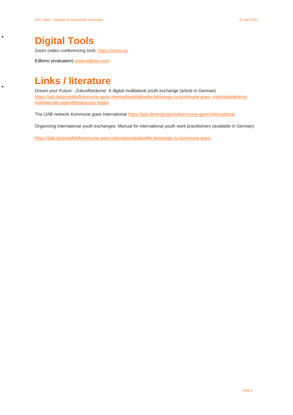# **Digital Tools**

 $\bullet$ 

 $\bullet$ 

Zoom (video conferencing tool): [https://zoom.us](https://zoom.us/)

Edkimo (evaluation) [www.edkimo.com](http://www.edkimo.com/)

# **Links / literature**

*Dream your Future - Zukunftsträume:* A digital multilateral youth exchange (article in German) [https://ijab.de/projekte/kommune-goes-international/aktuelle-beitraege-zu-kommune-goes-](https://ijab.de/projekte/kommune-goes-international/aktuelle-beitraege-zu-kommune-goes-international/eine-multilaterale-jugendbegegnung-digital) [international/eine](https://ijab.de/projekte/kommune-goes-international/aktuelle-beitraege-zu-kommune-goes-international/eine-multilaterale-jugendbegegnung-digital)[multilaterale-jugendbegegnung-digital](https://ijab.de/projekte/kommune-goes-international/aktuelle-beitraege-zu-kommune-goes-international/eine-multilaterale-jugendbegegnung-digital)

The IJAB network Kommune goes International <https://ijab.de/en/projects/kommune-goes-international>

Organising international youth exchanges: Manual for international youth work practitioners (available in German)

[https://ijab.de/projekte/kommune-goes-international/aktuelle-beitraege-zu-kommune-goes-](https://ijab.de/projekte/kommune-goes-international/aktuelle-beitraege-zu-kommune-goes-international/virtuelle-internationale-jugendbegegnungen-organisieren)